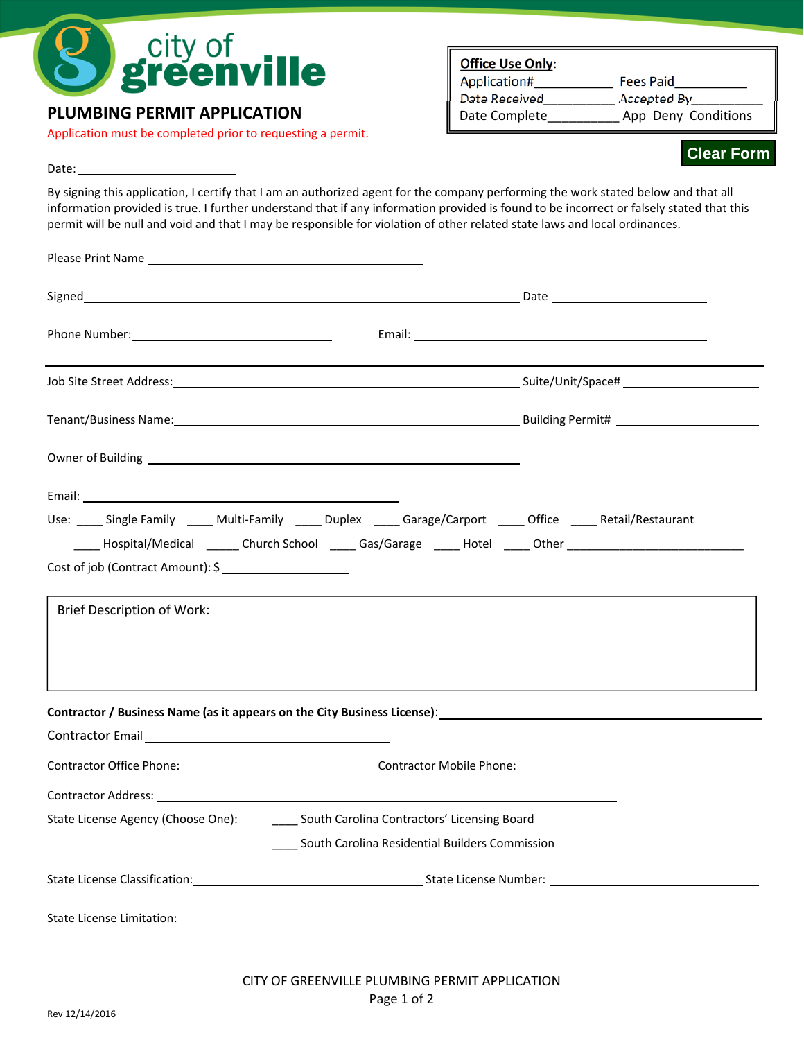

## **PLUMBING PERMIT APPLICATION**

Application must be completed prior to requesting a permit.

## **Office Use Only**:

| Application#  |  |
|---------------|--|
| Date Received |  |
| Date Complete |  |

 $\equiv$  Fees Paid  $\rule{1em}{0.15mm} \begin{array}{ll} \nemph{Accepted By} \nemph{D} \nemph{D} \nemph{D} \nemph{E} \nemph{E} \nemph{E} \nemph{E} \nemph{E} \nemph{E} \nemph{E} \nemph{E} \nemph{E} \nemph{E} \nemph{E} \nemph{E} \nemph{E} \nemph{E} \nemph{E} \nemph{E} \nemph{E} \nemph{E} \nemph{E} \nemph{E} \nemph{E} \nemph{E} \nemph{E} \nemph{E}$ App Deny Conditions

## **Clear Form**

Date:

By signing this application, I certify that I am an authorized agent for the company performing the work stated below and that all information provided is true. I further understand that if any information provided is found to be incorrect or falsely stated that this permit will be null and void and that I may be responsible for violation of other related state laws and local ordinances.

| Use: Single Family ____ Multi-Family _____ Duplex _____ Garage/Carport _____ Office _____ Retail/Restaurant          |  |
|----------------------------------------------------------------------------------------------------------------------|--|
| _____ Hospital/Medical _______ Church School ______ Gas/Garage ______ Hotel _____ Other ____________________________ |  |
| Cost of job (Contract Amount): \$                                                                                    |  |
| <b>Brief Description of Work:</b>                                                                                    |  |
| Contractor / Business Name (as it appears on the City Business License): 1988 1997 1998 1998 1999 1999 1999 1        |  |
| Contractor Email<br><u>Contractor Email</u>                                                                          |  |
| Contractor Office Phone: Contractor Mobile Phone: Contractor Mobile Phone:                                           |  |
|                                                                                                                      |  |
| State License Agency (Choose One): ________ South Carolina Contractors' Licensing Board                              |  |
| South Carolina Residential Builders Commission                                                                       |  |
|                                                                                                                      |  |
|                                                                                                                      |  |